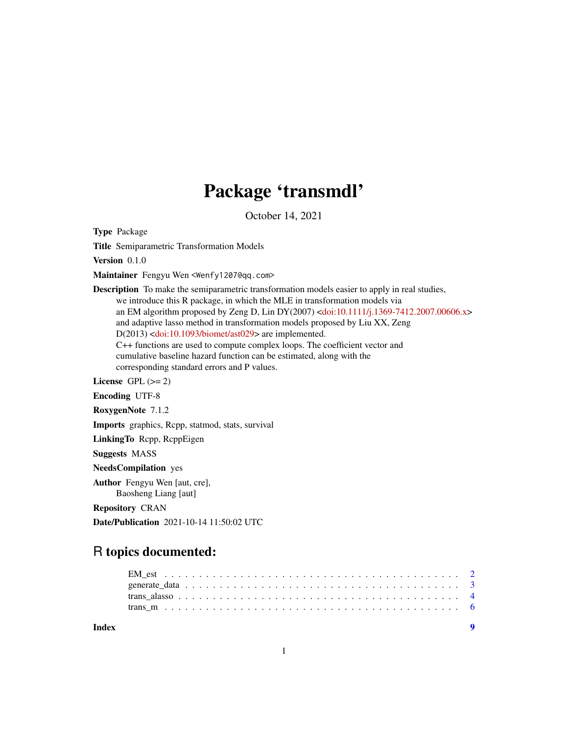## Package 'transmdl'

October 14, 2021

Type Package

Title Semiparametric Transformation Models

Version 0.1.0

Maintainer Fengyu Wen <Wenfy1207@qq.com>

Description To make the semiparametric transformation models easier to apply in real studies, we introduce this R package, in which the MLE in transformation models via an EM algorithm proposed by Zeng D, Lin DY(2007) [<doi:10.1111/j.1369-7412.2007.00606.x>](https://doi.org/10.1111/j.1369-7412.2007.00606.x) and adaptive lasso method in transformation models proposed by Liu XX, Zeng D(2013) [<doi:10.1093/biomet/ast029>](https://doi.org/10.1093/biomet/ast029) are implemented. C++ functions are used to compute complex loops. The coefficient vector and cumulative baseline hazard function can be estimated, along with the corresponding standard errors and P values.

License GPL  $(>= 2)$ 

Encoding UTF-8

RoxygenNote 7.1.2

Imports graphics, Rcpp, statmod, stats, survival

LinkingTo Rcpp, RcppEigen

Suggests MASS

NeedsCompilation yes

Author Fengyu Wen [aut, cre], Baosheng Liang [aut]

Repository CRAN

Date/Publication 2021-10-14 11:50:02 UTC

### R topics documented:

| Index | $\blacksquare$ |
|-------|----------------|
|       |                |
|       |                |
|       |                |
|       |                |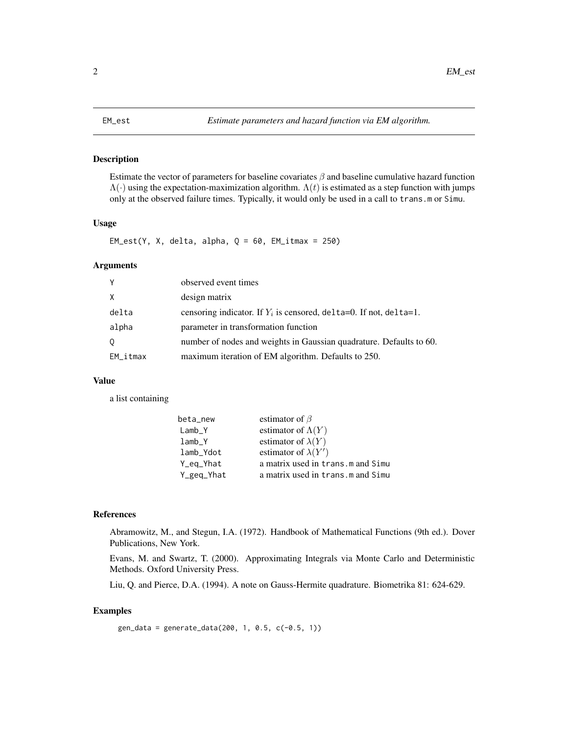#### <span id="page-1-1"></span><span id="page-1-0"></span>Description

Estimate the vector of parameters for baseline covariates  $\beta$  and baseline cumulative hazard function  $\Lambda(\cdot)$  using the expectation-maximization algorithm.  $\Lambda(t)$  is estimated as a step function with jumps only at the observed failure times. Typically, it would only be used in a call to trans.m or Simu.

#### Usage

 $EM\_est(Y, X, delta, alpha, Q = 60, EM\_itmax = 250)$ 

#### Arguments

| Y           | observed event times                                                 |
|-------------|----------------------------------------------------------------------|
| X           | design matrix                                                        |
| delta       | censoring indicator. If $Y_i$ is censored, delta=0. If not, delta=1. |
| alpha       | parameter in transformation function                                 |
| 0           | number of nodes and weights in Gaussian quadrature. Defaults to 60.  |
| $EM\_itmax$ | maximum iteration of EM algorithm. Defaults to 250.                  |

#### Value

a list containing

| beta_new   | estimator of $\beta$               |
|------------|------------------------------------|
| Lamb Y     | estimator of $\Lambda(Y)$          |
| lamb Y     | estimator of $\lambda(Y)$          |
| lamb_Ydot  | estimator of $\lambda(Y')$         |
| Y_eq_Yhat  | a matrix used in trans.m and Simu  |
| Y_geq_Yhat | a matrix used in trans. m and Simu |

#### References

Abramowitz, M., and Stegun, I.A. (1972). Handbook of Mathematical Functions (9th ed.). Dover Publications, New York.

Evans, M. and Swartz, T. (2000). Approximating Integrals via Monte Carlo and Deterministic Methods. Oxford University Press.

Liu, Q. and Pierce, D.A. (1994). A note on Gauss-Hermite quadrature. Biometrika 81: 624-629.

#### Examples

```
gen_data = generate_data(200, 1, 0.5, c(-0.5, 1))
```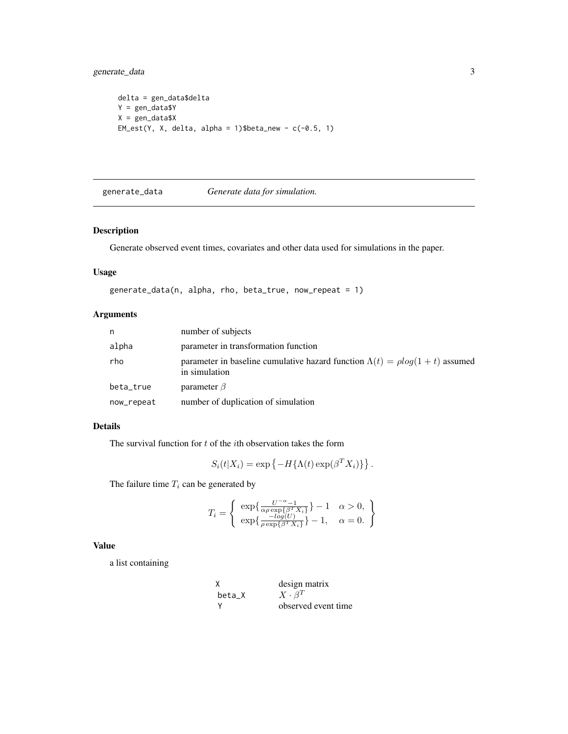<span id="page-2-0"></span>generate\_data 3

```
delta = gen_data$delta
Y = gen_data$Y
X = gen_data$X
EM\_est(Y, X, delta, alpha = 1)$beta_new - c(-0.5, 1)
```
generate\_data *Generate data for simulation.*

#### Description

Generate observed event times, covariates and other data used for simulations in the paper.

#### Usage

```
generate_data(n, alpha, rho, beta_true, now_repeat = 1)
```
#### Arguments

| n          | number of subjects                                                                                        |
|------------|-----------------------------------------------------------------------------------------------------------|
| alpha      | parameter in transformation function                                                                      |
| rho        | parameter in baseline cumulative hazard function $\Lambda(t) = \rho \log(1 + t)$ assumed<br>in simulation |
| beta_true  | parameter $\beta$                                                                                         |
| now_repeat | number of duplication of simulation                                                                       |

#### Details

The survival function for  $t$  of the *i*th observation takes the form

$$
S_i(t|X_i) = \exp\{-H\{\Lambda(t)\exp(\beta^T X_i)\}\}.
$$

The failure time  $T_i$  can be generated by

$$
T_i = \begin{cases} \exp\{\frac{U^{-\alpha} - 1}{\alpha \rho \exp\{\beta^T X_i\}}\} - 1 & \alpha > 0, \\ \exp\{\frac{-\log(U)}{\rho \exp\{\beta^T X_i\}}\} - 1, & \alpha = 0. \end{cases}
$$

#### Value

a list containing

| χ        | design matrix       |
|----------|---------------------|
| beta X   | $X \cdot \beta^T$   |
| <b>V</b> | observed event time |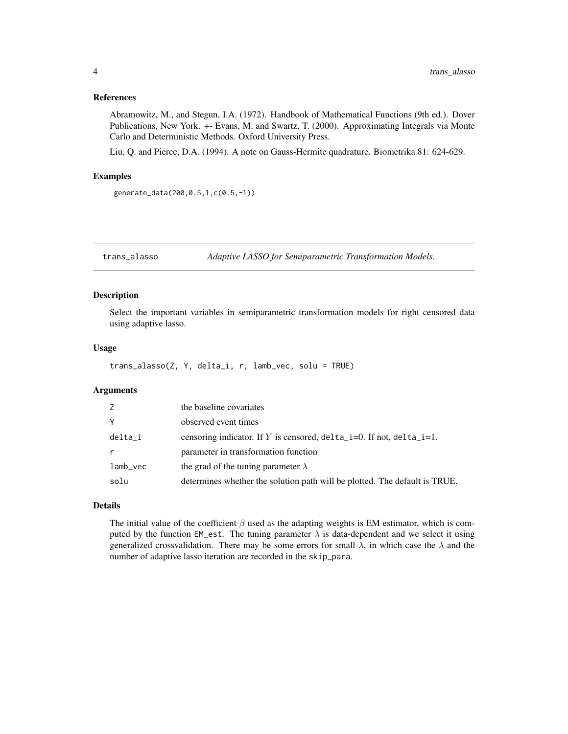#### <span id="page-3-0"></span>References

Abramowitz, M., and Stegun, I.A. (1972). Handbook of Mathematical Functions (9th ed.). Dover Publications, New York. +- Evans, M. and Swartz, T. (2000). Approximating Integrals via Monte Carlo and Deterministic Methods. Oxford University Press.

Liu, Q. and Pierce, D.A. (1994). A note on Gauss-Hermite quadrature. Biometrika 81: 624-629.

#### Examples

```
generate_data(200,0.5,1,c(0.5,-1))
```
trans\_alasso *Adaptive LASSO for Semiparametric Transformation Models.*

#### Description

Select the important variables in semiparametric transformation models for right censored data using adaptive lasso.

#### Usage

```
trans_alasso(Z, Y, delta_i, r, lamb_vec, solu = TRUE)
```
#### Arguments

| Z           | the baseline covariates                                                        |
|-------------|--------------------------------------------------------------------------------|
| Y           | observed event times                                                           |
| delta_i     | censoring indicator. If Y is censored, $delta_i = 0$ . If not, $delta_i = 1$ . |
| r           | parameter in transformation function                                           |
| $lamb\_vec$ | the grad of the tuning parameter $\lambda$                                     |
| solu        | determines whether the solution path will be plotted. The default is TRUE.     |

#### Details

The initial value of the coefficient  $\beta$  used as the adapting weights is EM estimator, which is computed by the function EM\_est. The tuning parameter  $\lambda$  is data-dependent and we select it using generalized crossvalidation. There may be some errors for small  $\lambda$ , in which case the  $\lambda$  and the number of adaptive lasso iteration are recorded in the skip\_para.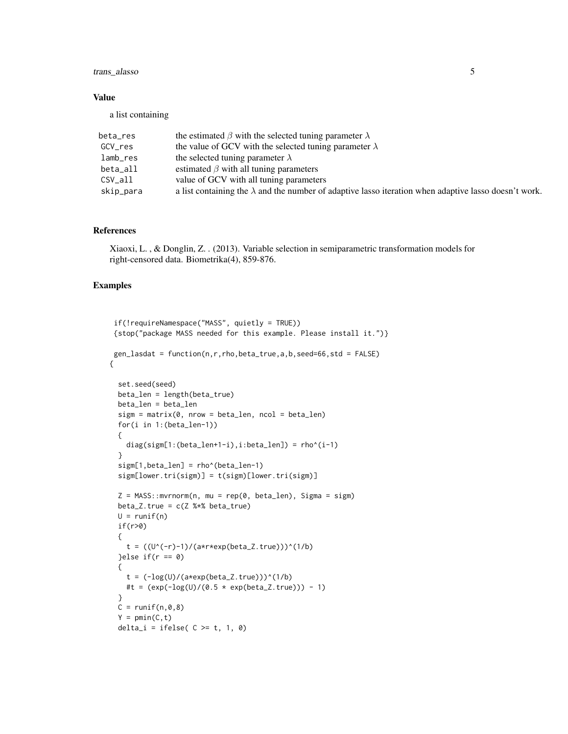#### trans\_alasso 5

#### Value

a list containing

| beta_res  | the estimated $\beta$ with the selected tuning parameter $\lambda$                                           |
|-----------|--------------------------------------------------------------------------------------------------------------|
| GCV_res   | the value of GCV with the selected tuning parameter $\lambda$                                                |
| lamb_res  | the selected tuning parameter $\lambda$                                                                      |
| beta_all  | estimated $\beta$ with all tuning parameters                                                                 |
| CSV all   | value of GCV with all tuning parameters                                                                      |
| skip_para | a list containing the $\lambda$ and the number of adaptive lasso iteration when adaptive lasso doesn't work. |

#### References

Xiaoxi, L. , & Donglin, Z. . (2013). Variable selection in semiparametric transformation models for right-censored data. Biometrika(4), 859-876.

#### Examples

```
if(!requireNamespace("MASS", quietly = TRUE))
 {stop("package MASS needed for this example. Please install it.")}
gen\_lasdat = function(n, r, rho, beta\_true, a, b, seed=66, std = FALSE){
 set.seed(seed)
 beta_len = length(beta_true)
 beta_len = beta_len
 sign = matrix(0, nrow = beta_length, ncol = beta_length)for(i in 1:(beta_len-1))
 {
   diag(sigm[1:(beta_len+1-i),i:beta_len]) = rho^(i-1)
 }
 sigm[1,beta_len] = rho^(beta_len-1)
 sigm[lower.tri(sigm)] = t(sigm)[lower.tri(sigm)]
 Z = MASS::mvrnorm(n, mu = rep(0, beta_length), Sigma = sign)beta_Z.true = c(Z %*) beta_true)
 U = runif(n)if(r>0)
 {
    t = ((U^{(n)}-1)/(a*r*exp(beta_Z.true)))^{(1/b)}}else if(r == 0)
 {
   t = (-\log(U)/(a*exp(beta_Z.true)))^(1/b)#t = (exp(-log(U)/(0.5 * exp(beta_Z.true))) - 1)}
 C = runif(n, \emptyset, 8)Y = pmin(C, t)delta_i = ifelse(C \geq t, 1, 0)
```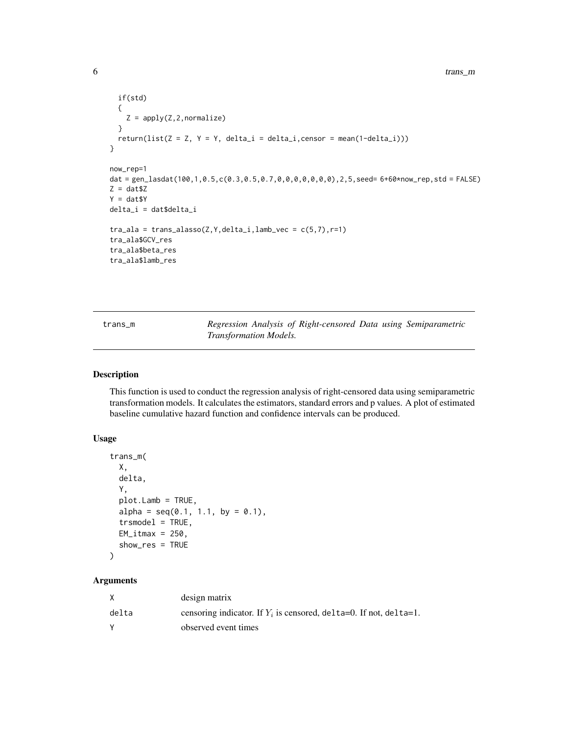```
if(std)
  {
    Z = apply(Z, 2, normalize)}
  return(list(Z = Z, Y = Y, delta_i = delta_i, censor = mean(1-delta_i))}
now_rep=1
dat = gen_lasdat(100,1,0.5,c(0.3,0.5,0.7,0,0,0,0,0,0,0),2,5,seed= 6+60*now_rep,std = FALSE)
Z = \text{dat$Z}Y = dat$Y
delta_i = dat$delta_i
tra\_ala = trans\_alasso(Z, Y, delta\_i, lamb\_vec = c(5,7), r=1)tra_ala$GCV_res
tra_ala$beta_res
tra_ala$lamb_res
```

| trans m |                               | Regression Analysis of Right-censored Data using Semiparametric |  |  |
|---------|-------------------------------|-----------------------------------------------------------------|--|--|
|         | <i>Transformation Models.</i> |                                                                 |  |  |

#### Description

This function is used to conduct the regression analysis of right-censored data using semiparametric transformation models. It calculates the estimators, standard errors and p values. A plot of estimated baseline cumulative hazard function and confidence intervals can be produced.

#### Usage

```
trans_m(
  X,
  delta,
  Y,
  plot.Lamb = TRUE,
  alpha = seq(0.1, 1.1, by = 0.1),trsmodel = TRUE,
  EM\_itmax = 250,
  show_res = TRUE
\mathcal{L}
```
#### Arguments

|       | design matrix                                                        |
|-------|----------------------------------------------------------------------|
| delta | censoring indicator. If $Y_i$ is censored, delta=0. If not, delta=1. |
|       | observed event times                                                 |

<span id="page-5-0"></span>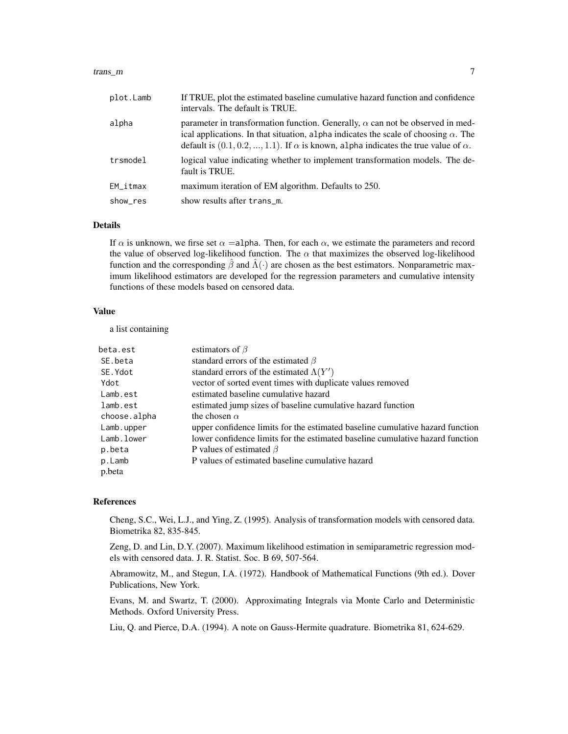#### trans\_m 7

| plot.Lamb               | If TRUE, plot the estimated baseline cumulative hazard function and confidence<br>intervals. The default is TRUE.                                                                                                                                                                          |
|-------------------------|--------------------------------------------------------------------------------------------------------------------------------------------------------------------------------------------------------------------------------------------------------------------------------------------|
| alpha                   | parameter in transformation function. Generally, $\alpha$ can not be observed in med-<br>ical applications. In that situation, alpha indicates the scale of choosing $\alpha$ . The<br>default is $(0.1, 0.2, , 1.1)$ . If $\alpha$ is known, alpha indicates the true value of $\alpha$ . |
| trsmodel                | logical value indicating whether to implement transformation models. The de-<br>fault is TRUE.                                                                                                                                                                                             |
| $EM$ <sub>_</sub> itmax | maximum iteration of EM algorithm. Defaults to 250.                                                                                                                                                                                                                                        |
| show_res                | show results after trans_m.                                                                                                                                                                                                                                                                |

#### Details

If  $\alpha$  is unknown, we firse set  $\alpha$  =alpha. Then, for each  $\alpha$ , we estimate the parameters and record the value of observed log-likelihood function. The  $\alpha$  that maximizes the observed log-likelihood function and the corresponding  $\hat{\beta}$  and  $\hat{\Lambda}(\cdot)$  are chosen as the best estimators. Nonparametric maximum likelihood estimators are developed for the regression parameters and cumulative intensity functions of these models based on censored data.

#### Value

a list containing

| beta.est     | estimators of $\beta$                                                         |
|--------------|-------------------------------------------------------------------------------|
| SE.beta      | standard errors of the estimated $\beta$                                      |
| SE.Ydot      | standard errors of the estimated $\Lambda(Y')$                                |
| Ydot         | vector of sorted event times with duplicate values removed                    |
| Lamb.est     | estimated baseline cumulative hazard                                          |
| lamb.est     | estimated jump sizes of baseline cumulative hazard function                   |
| choose.alpha | the chosen $\alpha$                                                           |
| Lamb.upper   | upper confidence limits for the estimated baseline cumulative hazard function |
| Lamb.lower   | lower confidence limits for the estimated baseline cumulative hazard function |
| p.beta       | P values of estimated $\beta$                                                 |
| p.Lamb       | P values of estimated baseline cumulative hazard                              |
| p.beta       |                                                                               |

#### References

Cheng, S.C., Wei, L.J., and Ying, Z. (1995). Analysis of transformation models with censored data. Biometrika 82, 835-845.

Zeng, D. and Lin, D.Y. (2007). Maximum likelihood estimation in semiparametric regression models with censored data. J. R. Statist. Soc. B 69, 507-564.

Abramowitz, M., and Stegun, I.A. (1972). Handbook of Mathematical Functions (9th ed.). Dover Publications, New York.

Evans, M. and Swartz, T. (2000). Approximating Integrals via Monte Carlo and Deterministic Methods. Oxford University Press.

Liu, Q. and Pierce, D.A. (1994). A note on Gauss-Hermite quadrature. Biometrika 81, 624-629.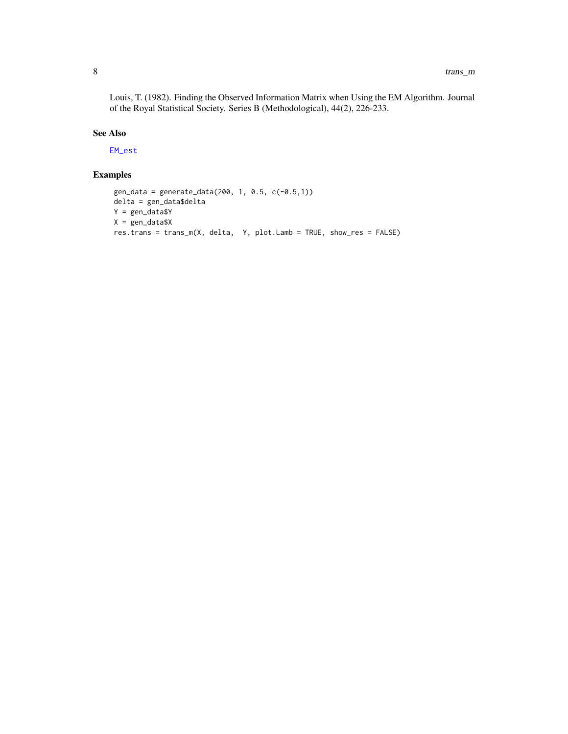<span id="page-7-0"></span>Louis, T. (1982). Finding the Observed Information Matrix when Using the EM Algorithm. Journal of the Royal Statistical Society. Series B (Methodological), 44(2), 226-233.

#### See Also

[EM\\_est](#page-1-1)

#### Examples

```
gen_data = generate_data(200, 1, 0.5, c(-0.5,1))
delta = gen_data$delta
Y = gen_data$Y
X = gen_data$Xres.trans = trans_m(X, delta, Y, plot.Lamb = TRUE, show_res = FALSE)
```